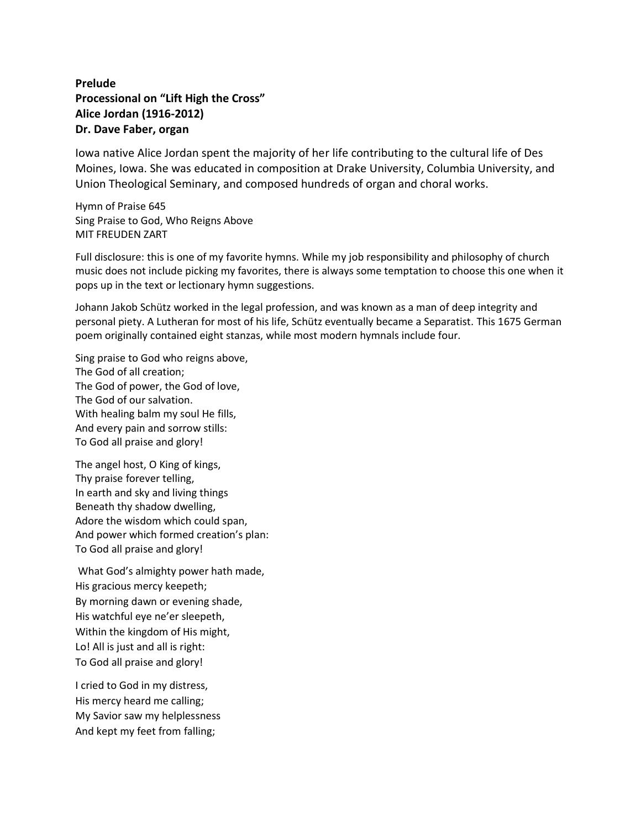## **Prelude Processional on "Lift High the Cross" Alice Jordan (1916-2012) Dr. Dave Faber, organ**

Iowa native Alice Jordan spent the majority of her life contributing to the cultural life of Des Moines, Iowa. She was educated in composition at Drake University, Columbia University, and Union Theological Seminary, and composed hundreds of organ and choral works.

Hymn of Praise 645 Sing Praise to God, Who Reigns Above MIT FREUDEN ZART

Full disclosure: this is one of my favorite hymns. While my job responsibility and philosophy of church music does not include picking my favorites, there is always some temptation to choose this one when it pops up in the text or lectionary hymn suggestions.

Johann Jakob Schütz worked in the legal profession, and was known as a man of deep integrity and personal piety. A Lutheran for most of his life, Schütz eventually became a Separatist. This 1675 German poem originally contained eight stanzas, while most modern hymnals include four.

Sing praise to God who reigns above, The God of all creation; The God of power, the God of love, The God of our salvation. With healing balm my soul He fills, And every pain and sorrow stills: To God all praise and glory!

The angel host, O King of kings, Thy praise forever telling, In earth and sky and living things Beneath thy shadow dwelling, Adore the wisdom which could span, And power which formed creation's plan: To God all praise and glory!

What God's almighty power hath made, His gracious mercy keepeth; By morning dawn or evening shade, His watchful eye ne'er sleepeth, Within the kingdom of His might, Lo! All is just and all is right: To God all praise and glory!

I cried to God in my distress, His mercy heard me calling; My Savior saw my helplessness And kept my feet from falling;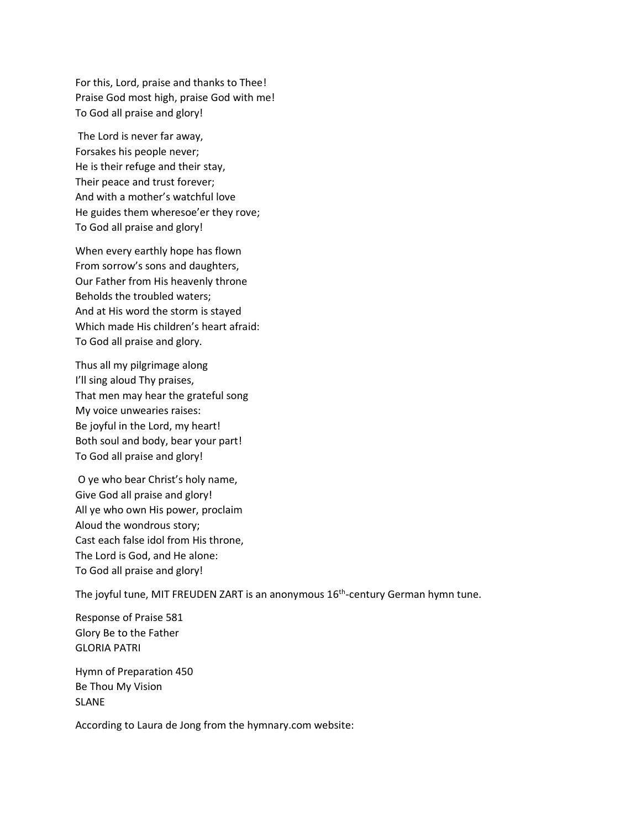For this, Lord, praise and thanks to Thee! Praise God most high, praise God with me! To God all praise and glory!

The Lord is never far away, Forsakes his people never; He is their refuge and their stay, Their peace and trust forever; And with a mother's watchful love He guides them wheresoe'er they rove; To God all praise and glory!

When every earthly hope has flown From sorrow's sons and daughters, Our Father from His heavenly throne Beholds the troubled waters; And at His word the storm is stayed Which made His children's heart afraid: To God all praise and glory.

Thus all my pilgrimage along I'll sing aloud Thy praises, That men may hear the grateful song My voice unwearies raises: Be joyful in the Lord, my heart! Both soul and body, bear your part! To God all praise and glory!

O ye who bear Christ's holy name, Give God all praise and glory! All ye who own His power, proclaim Aloud the wondrous story; Cast each false idol from His throne, The Lord is God, and He alone: To God all praise and glory!

The joyful tune, MIT FREUDEN ZART is an anonymous 16<sup>th</sup>-century German hymn tune.

Response of Praise 581 Glory Be to the Father GLORIA PATRI

Hymn of Preparation 450 Be Thou My Vision SLANE

According to Laura de Jong from the hymnary.com website: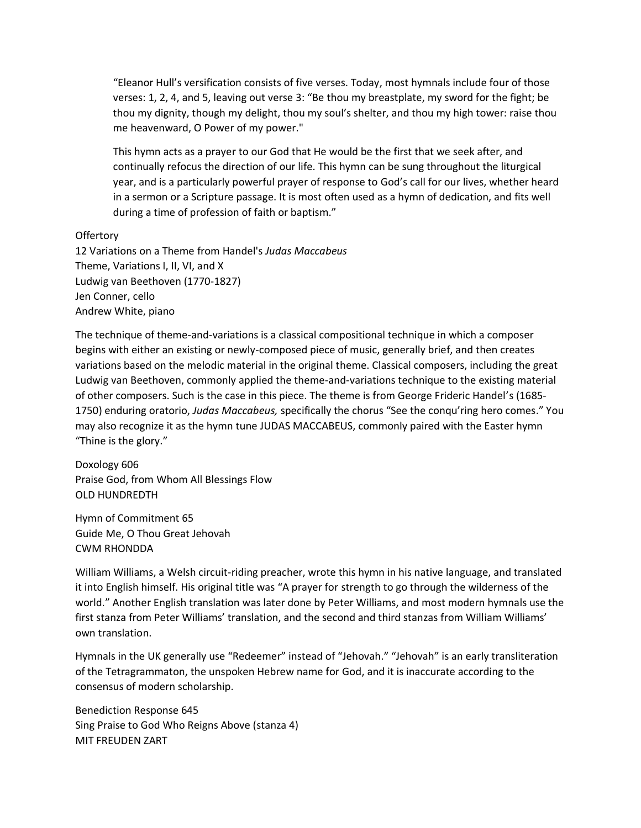"Eleanor Hull's versification consists of five verses. Today, most hymnals include four of those verses: 1, 2, 4, and 5, leaving out verse 3: "Be thou my breastplate, my sword for the fight; be thou my dignity, though my delight, thou my soul's shelter, and thou my high tower: raise thou me heavenward, O Power of my power."

This hymn acts as a prayer to our God that He would be the first that we seek after, and continually refocus the direction of our life. This hymn can be sung throughout the liturgical year, and is a particularly powerful prayer of response to God's call for our lives, whether heard in a sermon or a Scripture passage. It is most often used as a hymn of dedication, and fits well during a time of profession of faith or baptism."

## **Offertory**

12 Variations on a Theme from Handel's *Judas Maccabeus* Theme, Variations I, II, VI, and X Ludwig van Beethoven (1770-1827) Jen Conner, cello Andrew White, piano

The technique of theme-and-variations is a classical compositional technique in which a composer begins with either an existing or newly-composed piece of music, generally brief, and then creates variations based on the melodic material in the original theme. Classical composers, including the great Ludwig van Beethoven, commonly applied the theme-and-variations technique to the existing material of other composers. Such is the case in this piece. The theme is from George Frideric Handel's (1685- 1750) enduring oratorio, *Judas Maccabeus,* specifically the chorus "See the conqu'ring hero comes." You may also recognize it as the hymn tune JUDAS MACCABEUS, commonly paired with the Easter hymn "Thine is the glory."

Doxology 606 Praise God, from Whom All Blessings Flow OLD HUNDREDTH

Hymn of Commitment 65 Guide Me, O Thou Great Jehovah CWM RHONDDA

William Williams, a Welsh circuit-riding preacher, wrote this hymn in his native language, and translated it into English himself. His original title was "A prayer for strength to go through the wilderness of the world." Another English translation was later done by Peter Williams, and most modern hymnals use the first stanza from Peter Williams' translation, and the second and third stanzas from William Williams' own translation.

Hymnals in the UK generally use "Redeemer" instead of "Jehovah." "Jehovah" is an early transliteration of the Tetragrammaton, the unspoken Hebrew name for God, and it is inaccurate according to the consensus of modern scholarship.

Benediction Response 645 Sing Praise to God Who Reigns Above (stanza 4) MIT FREUDEN ZART